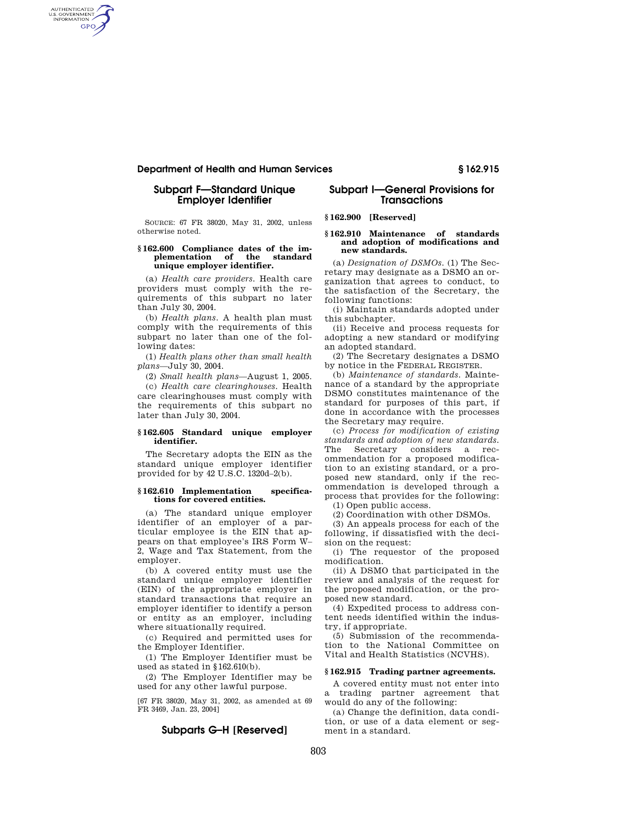### **Department of Health and Human Services § 162.915**

# **Subpart F—Standard Unique Employer Identifier**

AUTHENTICATED<br>U.S. GOVERNMENT<br>INFORMATION GPO

> SOURCE: 67 FR 38020, May 31, 2002, unless otherwise noted.

#### **§ 162.600 Compliance dates of the implementation of the standard unique employer identifier.**

(a) *Health care providers.* Health care providers must comply with the requirements of this subpart no later than July 30, 2004.

(b) *Health plans.* A health plan must comply with the requirements of this subpart no later than one of the following dates:

(1) *Health plans other than small health plans*—July 30, 2004.

(2) *Small health plans*—August 1, 2005.

(c) *Health care clearinghouses.* Health care clearinghouses must comply with the requirements of this subpart no later than July 30, 2004.

#### **§ 162.605 Standard unique employer identifier.**

The Secretary adopts the EIN as the standard unique employer identifier provided for by 42 U.S.C. 1320d–2(b).

### **§ 162.610 Implementation specifications for covered entities.**

(a) The standard unique employer identifier of an employer of a particular employee is the EIN that appears on that employee's IRS Form W– 2, Wage and Tax Statement, from the employer.

(b) A covered entity must use the standard unique employer identifier (EIN) of the appropriate employer in standard transactions that require an employer identifier to identify a person or entity as an employer, including where situationally required.

(c) Required and permitted uses for the Employer Identifier.

(1) The Employer Identifier must be used as stated in §162.610(b).

(2) The Employer Identifier may be used for any other lawful purpose.

[67 FR 38020, May 31, 2002, as amended at 69 FR 3469, Jan. 23, 2004]

# **Subparts G–H [Reserved]**

# **Subpart I—General Provisions for Transactions**

# **§ 162.900 [Reserved]**

#### **§ 162.910 Maintenance of standards and adoption of modifications and new standards.**

(a) *Designation of DSMOs.* (1) The Secretary may designate as a DSMO an organization that agrees to conduct, to the satisfaction of the Secretary, the following functions:

(i) Maintain standards adopted under this subchapter.

(ii) Receive and process requests for adopting a new standard or modifying an adopted standard.

(2) The Secretary designates a DSMO by notice in the FEDERAL REGISTER.

(b) *Maintenance of standards.* Maintenance of a standard by the appropriate DSMO constitutes maintenance of the standard for purposes of this part, if done in accordance with the processes the Secretary may require.

(c) *Process for modification of existing standards and adoption of new standards.*  The Secretary considers a recommendation for a proposed modification to an existing standard, or a proposed new standard, only if the recommendation is developed through a process that provides for the following: (1) Open public access.

(2) Coordination with other DSMOs.

(3) An appeals process for each of the following, if dissatisfied with the decision on the request:

(i) The requestor of the proposed modification.

(ii) A DSMO that participated in the review and analysis of the request for the proposed modification, or the proposed new standard.

(4) Expedited process to address content needs identified within the industry, if appropriate.

(5) Submission of the recommendation to the National Committee on Vital and Health Statistics (NCVHS).

#### **§ 162.915 Trading partner agreements.**

A covered entity must not enter into a trading partner agreement that would do any of the following:

(a) Change the definition, data condition, or use of a data element or segment in a standard.